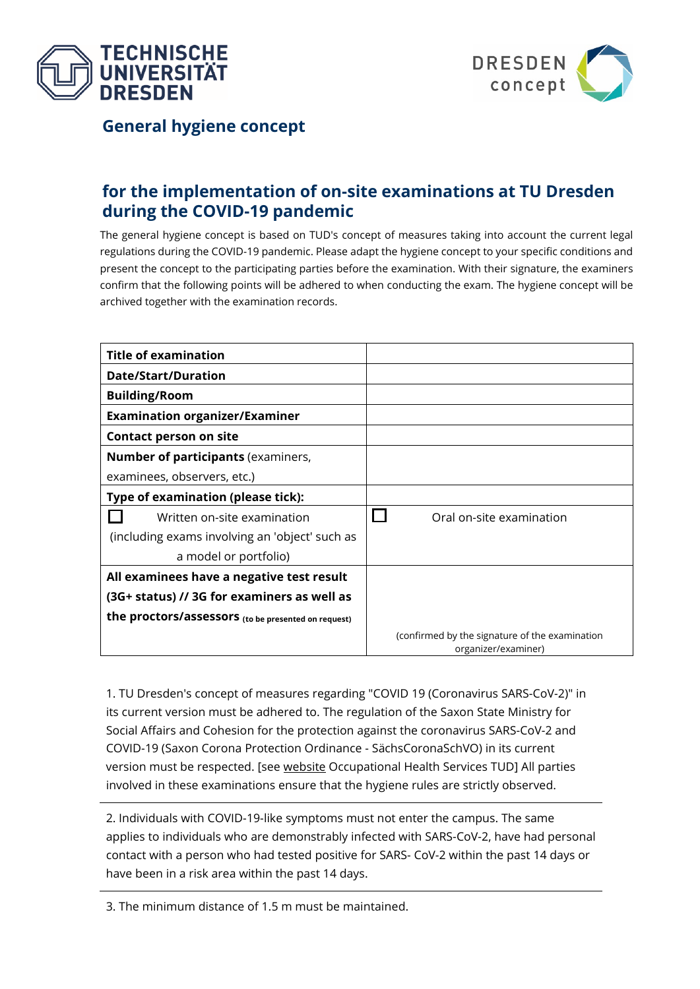



**General hygiene concept**

## **for the implementation of on-site examinations at TU Dresden during the COVID-19 pandemic**

The general hygiene concept is based on TUD's concept of measures taking into account the current legal regulations during the COVID-19 pandemic. Please adapt the hygiene concept to your specific conditions and present the concept to the participating parties before the examination. With their signature, the examiners confirm that the following points will be adhered to when conducting the exam. The hygiene concept will be archived together with the examination records.

| <b>Title of examination</b>                         |                                                                       |
|-----------------------------------------------------|-----------------------------------------------------------------------|
| <b>Date/Start/Duration</b>                          |                                                                       |
| <b>Building/Room</b>                                |                                                                       |
| <b>Examination organizer/Examiner</b>               |                                                                       |
| <b>Contact person on site</b>                       |                                                                       |
| <b>Number of participants (examiners,</b>           |                                                                       |
| examinees, observers, etc.)                         |                                                                       |
| Type of examination (please tick):                  |                                                                       |
| Written on-site examination                         | Oral on-site examination                                              |
| (including exams involving an 'object' such as      |                                                                       |
| a model or portfolio)                               |                                                                       |
| All examinees have a negative test result           |                                                                       |
| (3G+ status) // 3G for examiners as well as         |                                                                       |
| the proctors/assessors (to be presented on request) |                                                                       |
|                                                     | (confirmed by the signature of the examination<br>organizer/examiner) |

1. TU Dresden's concept of measures regarding "COVID 19 (Coronavirus SARS-CoV-2)" in its current version must be adhered to. The regulation of the Saxon State Ministry for Social Affairs and Cohesion for the protection against the coronavirus SARS-CoV-2 and COVID-19 (Saxon Corona Protection Ordinance - SächsCoronaSchVO) in its current version must be respected. [see [website](https://tu-dresden.de/tu-dresden/gesundheitsmanagement/information-regarding-covid-19-coronavirus-sars-cov-2/hygieneempfehlungen?set_language=en) Occupational Health Services TUD] All parties involved in these examinations ensure that the hygiene rules are strictly observed.

2. Individuals with COVID-19-like symptoms must not enter the campus. The same applies to individuals who are demonstrably infected with SARS-CoV-2, have had personal contact with a person who had tested positive for SARS- CoV-2 within the past 14 days or have been in a risk area within the past 14 days.

3. The minimum distance of 1.5 m must be maintained.